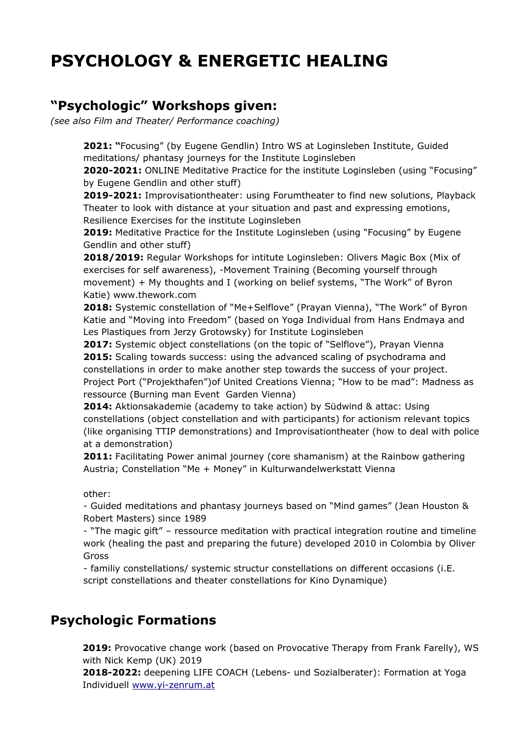# **PSYCHOLOGY & ENERGETIC HEALING**

# **"Psychologic" Workshops given:**

*(see also Film and Theater/ Performance coaching)*

**2021: "**Focusing" (by Eugene Gendlin) Intro WS at Loginsleben Institute, Guided meditations/ phantasy journeys for the Institute Loginsleben

**2020-2021:** ONLINE Meditative Practice for the institute Loginsleben (using "Focusing" by Eugene Gendlin and other stuff)

**2019-2021:** Improvisationtheater: using Forumtheater to find new solutions, Playback Theater to look with distance at your situation and past and expressing emotions, Resilience Exercises for the institute Loginsleben

**2019:** Meditative Practice for the Institute Loginsleben (using "Focusing" by Eugene Gendlin and other stuff)

**2018/2019:** Regular Workshops for intitute Loginsleben: Olivers Magic Box (Mix of exercises for self awareness), -Movement Training (Becoming yourself through movement) + My thoughts and I (working on belief systems, "The Work" of Byron Katie) www.thework.com

**2018:** Systemic constellation of "Me+Selflove" (Prayan Vienna), "The Work" of Byron Katie and "Moving into Freedom" (based on Yoga Individual from Hans Endmaya and Les Plastiques from Jerzy Grotowsky) for Institute Loginsleben

**2017:** Systemic object constellations (on the topic of "Selflove"), Prayan Vienna **2015:** Scaling towards success: using the advanced scaling of psychodrama and constellations in order to make another step towards the success of your project. Project Port ("Projekthafen")of United Creations Vienna; "How to be mad": Madness as ressource (Burning man Event Garden Vienna)

**2014:** Aktionsakademie (academy to take action) by Südwind & attac: Using constellations (object constellation and with participants) for actionism relevant topics (like organising TTIP demonstrations) and Improvisationtheater (how to deal with police at a demonstration)

**2011:** Facilitating Power animal journey (core shamanism) at the Rainbow gathering Austria; Constellation "Me + Money" in Kulturwandelwerkstatt Vienna

other:

- Guided meditations and phantasy journeys based on "Mind games" (Jean Houston & Robert Masters) since 1989

- "The magic gift" – ressource meditation with practical integration routine and timeline work (healing the past and preparing the future) developed 2010 in Colombia by Oliver Gross

- familiy constellations/ systemic structur constellations on different occasions (i.E. script constellations and theater constellations for Kino Dynamique)

## **Psychologic Formations**

**2019:** Provocative change work (based on Provocative Therapy from Frank Farelly), WS with Nick Kemp (UK) 2019

**2018-2022:** deepening LIFE COACH (Lebens- und Sozialberater): Formation at Yoga Individuell [www.yi-zenrum.at](http://www.yi-zenrum.at/)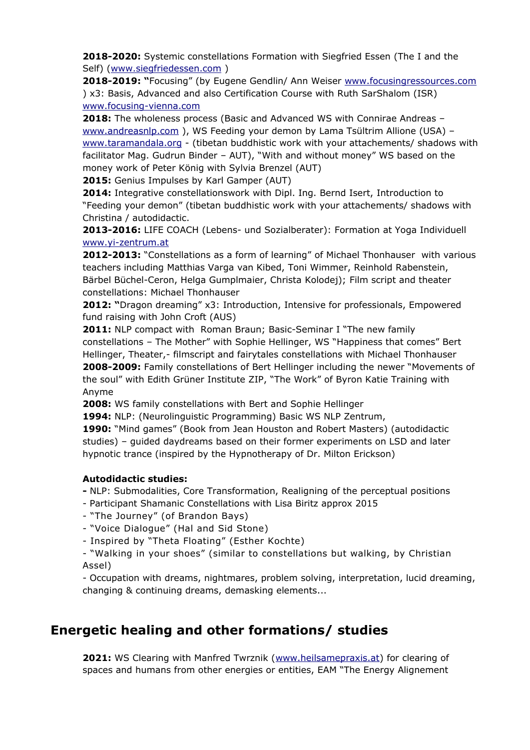**2018-2020:** Systemic constellations Formation with Siegfried Essen (The I and the Self) [\(www.siegfriedessen.com](http://www.siegfriedessen.com/) )

**2018-2019: "**Focusing" (by Eugene Gendlin/ Ann Weiser [www.focusingressources.com](http://www.focusingressources.com/) ) x3: Basis, Advanced and also Certification Course with Ruth SarShalom (ISR) [www.focusing-vienna.com](http://www.focusing-vienna.com/)

**2018:** The wholeness process (Basic and Advanced WS with Connirae Andreas – [www.andreasnlp.com](http://www.andreasnlp.com/) ), WS Feeding your demon by Lama Tsültrim Allione (USA) [www.taramandala.org](http://www.taramandala.org/) - (tibetan buddhistic work with your attachements/ shadows with facilitator Mag. Gudrun Binder – AUT), "With and without money" WS based on the money work of Peter König with Sylvia Brenzel (AUT)

**2015:** Genius Impulses by Karl Gamper (AUT)

**2014:** Integrative constellationswork with Dipl. Ing. Bernd Isert, Introduction to "Feeding your demon" (tibetan buddhistic work with your attachements/ shadows with Christina / autodidactic.

**2013-2016:** LIFE COACH (Lebens- und Sozialberater): Formation at Yoga Individuell [www.yi-zentrum.at](http://www.yi-zentrum.at/) 

**2012-2013:** "Constellations as a form of learning" of Michael Thonhauser with various teachers including Matthias Varga van Kibed, Toni Wimmer, Reinhold Rabenstein, Bärbel Büchel-Ceron, Helga Gumplmaier, Christa Kolodej); Film script and theater constellations: Michael Thonhauser

**2012: "**Dragon dreaming" x3: Introduction, Intensive for professionals, Empowered fund raising with John Croft (AUS)

**2011:** NLP compact with Roman Braun; Basic-Seminar I "The new family constellations – The Mother" with Sophie Hellinger, WS "Happiness that comes" Bert Hellinger, Theater,- filmscript and fairytales constellations with Michael Thonhauser **2008-2009:** Family constellations of Bert Hellinger including the newer "Movements of the soul" with Edith Grüner Institute ZIP, "The Work" of Byron Katie Training with Anyme

**2008:** WS family constellations with Bert and Sophie Hellinger

**1994:** NLP: (Neurolinguistic Programming) Basic WS NLP Zentrum,

**1990:** "Mind games" (Book from Jean Houston and Robert Masters) (autodidactic studies) – guided daydreams based on their former experiments on LSD and later hypnotic trance (inspired by the Hypnotherapy of Dr. Milton Erickson)

#### **Autodidactic studies:**

**-** NLP: Submodalities, Core Transformation, Realigning of the perceptual positions

- Participant Shamanic Constellations with Lisa Biritz approx 2015

- "The Journey" (of Brandon Bays)
- "Voice Dialogue" (Hal and Sid Stone)
- Inspired by "Theta Floating" (Esther Kochte)

- "Walking in your shoes" (similar to constellations but walking, by Christian Assel)

- Occupation with dreams, nightmares, problem solving, interpretation, lucid dreaming, changing & continuing dreams, demasking elements...

## **Energetic healing and other formations/ studies**

**2021:** WS Clearing with Manfred Twrznik [\(www.heilsamepraxis.at](http://www.heilsamepraxis.at/)) for clearing of spaces and humans from other energies or entities, EAM "The Energy Alignement